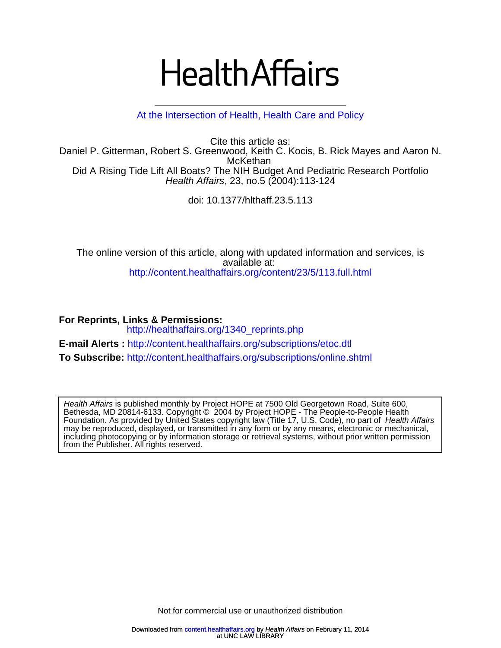# **Health Affairs**

# [At the Intersection of Health, Health Care and Policy](http://www.healthaffairs.org)

Health Affairs, 23, no.5 (2004):113-124 Did A Rising Tide Lift All Boats? The NIH Budget And Pediatric Research Portfolio **McKethan** Daniel P. Gitterman, Robert S. Greenwood, Keith C. Kocis, B. Rick Mayes and Aaron N. Cite this article as:

doi: 10.1377/hlthaff.23.5.113

<http://content.healthaffairs.org/content/23/5/113.full.html> available at: The online version of this article, along with updated information and services, is

**For Reprints, Links & Permissions:**  [http://healthaffairs.org/1340\\_reprints.php](http://healthaffairs.org/1340_reprints.php) **E-mail Alerts :** <http://content.healthaffairs.org/subscriptions/etoc.dtl> **To Subscribe:** <http://content.healthaffairs.org/subscriptions/online.shtml>

from the Publisher. All rights reserved. including photocopying or by information storage or retrieval systems, without prior written permission may be reproduced, displayed, or transmitted in any form or by any means, electronic or mechanical, Foundation. As provided by United States copyright law (Title 17, U.S. Code), no part of Health Affairs Bethesda, MD 20814-6133. Copyright © 2004 by Project HOPE - The People-to-People Health Health Affairs is published monthly by Project HOPE at 7500 Old Georgetown Road, Suite 600,

Not for c[ommercial use or una](http://content.healthaffairs.org/)uthorized distribution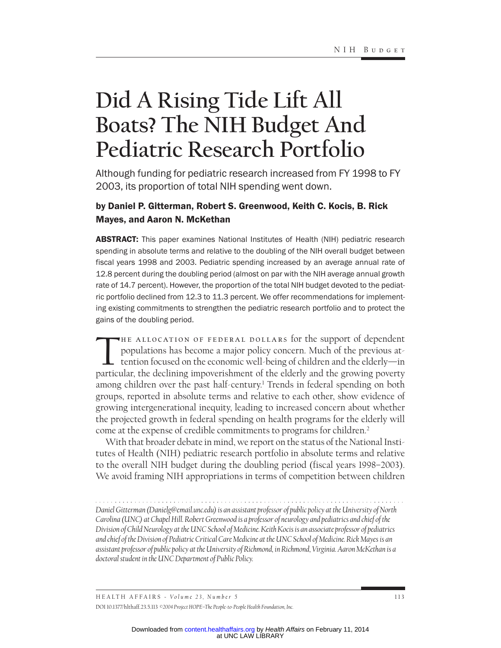# **Did A Rising Tide Lift All Boats? The NIH Budget And Pediatric Research Portfolio**

Although funding for pediatric research increased from FY 1998 to FY 2003, its proportion of total NIH spending went down.

# by Daniel P. Gitterman, Robert S. Greenwood, Keith C. Kocis, B. Rick Mayes, and Aaron N. McKethan

**ABSTRACT:** This paper examines National Institutes of Health (NIH) pediatric research spending in absolute terms and relative to the doubling of the NIH overall budget between fiscal years 1998 and 2003. Pediatric spending increased by an average annual rate of 12.8 percent during the doubling period (almost on par with the NIH average annual growth rate of 14.7 percent). However, the proportion of the total NIH budget devoted to the pediatric portfolio declined from 12.3 to 11.3 percent. We offer recommendations for implementing existing commitments to strengthen the pediatric research portfolio and to protect the gains of the doubling period.

THE ALLOCATION OF FEDERAL DOLLARS for the support of dependent<br>populations has become a major policy concern. Much of the previous at-<br>tention focused on the economic well-being of children and the elderly—in<br>particular th populations has become a major policy concern. Much of the previous attention focused on the economic well-being of children and the elderly—in particular, the declining impoverishment of the elderly and the growing poverty among children over the past half-century.1 Trends in federal spending on both groups, reported in absolute terms and relative to each other, show evidence of growing intergenerational inequity, leading to increased concern about whether the projected growth in federal spending on health programs for the elderly will come at the expense of credible commitments to programs for children.2

With that broader debate in mind, we report on the status of the National Institutes of Health (NIH) pediatric research portfolio in absolute terms and relative to the overall NIH budget during the doubling period (fiscal years 1998–2003). We avoid framing NIH appropriations in terms of competition between children

*Daniel Gitterman (Danielg@email.unc.edu) is an assistant professor of public policy at the University of North Carolina (UNC) at Chapel Hill. Robert Greenwood is a professor of neurology and pediatrics and chief of the Division of Child Neurology at the UNC School of Medicine. Keith Kocis is an associate professor of pediatrics and chief of the Division of Pediatric Critical Care Medicine at the UNC School of Medicine. Rick Mayes is an assistant professor of public policy at the University of Richmond, in Richmond, Virginia. Aaron McKethan is a doctoral student in the UNC Department of Public Policy.*

HEALTH AFFAIRS - *Volume 23*, Number 5 113 DOI 10.1377/hlthaff.23.5.113 *©2004 Project [HOPE–The People-to-People Health Fo](http://content.healthaffairs.org/)undation, Inc.*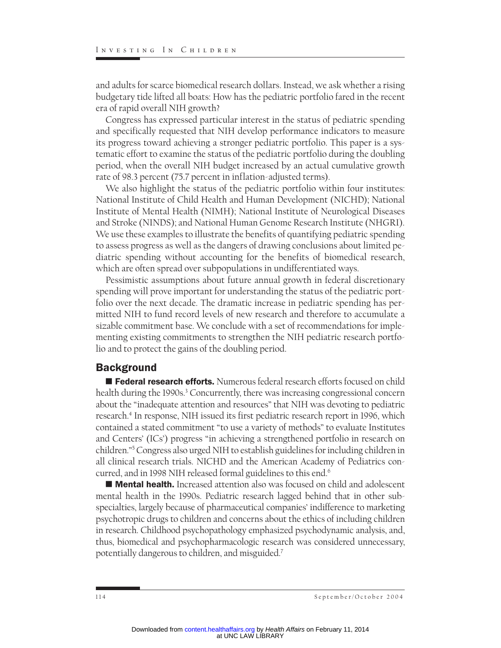and adults for scarce biomedical research dollars. Instead, we ask whether a rising budgetary tide lifted all boats: How has the pediatric portfolio fared in the recent era of rapid overall NIH growth?

Congress has expressed particular interest in the status of pediatric spending and specifically requested that NIH develop performance indicators to measure its progress toward achieving a stronger pediatric portfolio. This paper is a systematic effort to examine the status of the pediatric portfolio during the doubling period, when the overall NIH budget increased by an actual cumulative growth rate of 98.3 percent (75.7 percent in inflation-adjusted terms).

We also highlight the status of the pediatric portfolio within four institutes: National Institute of Child Health and Human Development (NICHD); National Institute of Mental Health (NIMH); National Institute of Neurological Diseases and Stroke (NINDS); and National Human Genome Research Institute (NHGRI). We use these examples to illustrate the benefits of quantifying pediatric spending to assess progress as well as the dangers of drawing conclusions about limited pediatric spending without accounting for the benefits of biomedical research, which are often spread over subpopulations in undifferentiated ways.

Pessimistic assumptions about future annual growth in federal discretionary spending will prove important for understanding the status of the pediatric portfolio over the next decade. The dramatic increase in pediatric spending has permitted NIH to fund record levels of new research and therefore to accumulate a sizable commitment base. We conclude with a set of recommendations for implementing existing commitments to strengthen the NIH pediatric research portfolio and to protect the gains of the doubling period.

# **Background**

**Federal research efforts.** Numerous federal research efforts focused on child health during the 1990s.<sup>3</sup> Concurrently, there was increasing congressional concern about the "inadequate attention and resources" that NIH was devoting to pediatric research.4 In response, NIH issued its first pediatric research report in 1996, which contained a stated commitment "to use a variety of methods" to evaluate Institutes and Centers' (ICs') progress "in achieving a strengthened portfolio in research on children."5Congress also urged NIH to establish guidelines for including children in all clinical research trials. NICHD and the American Academy of Pediatrics concurred, and in 1998 NIH released formal guidelines to this end.<sup>6</sup>

**Mental health.** Increased attention also was focused on child and adolescent mental health in the 1990s. Pediatric research lagged behind that in other subspecialties, largely because of pharmaceutical companies' indifference to marketing psychotropic drugs to children and concerns about the ethics of including children in research. Childhood psychopathology emphasized psychodynamic analysis, and, thus, biomedical and psychopharmacologic research was considered unnecessary, potentially dangerous to children, and misguided.7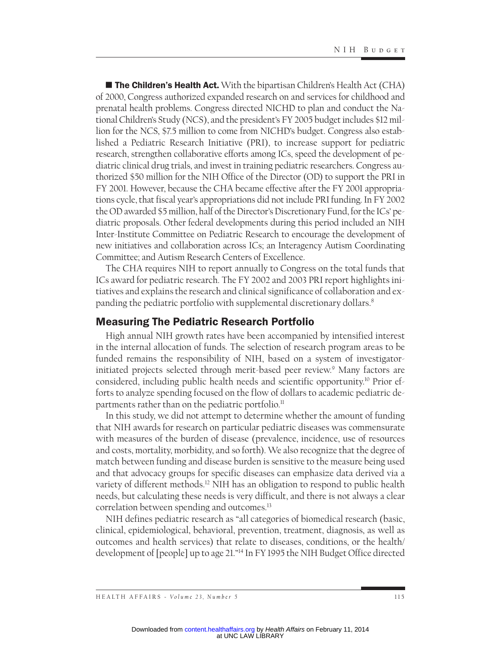**The Children's Health Act.** With the bipartisan Children's Health Act (CHA) of 2000, Congress authorized expanded research on and services for childhood and prenatal health problems. Congress directed NICHD to plan and conduct the National Children's Study (NCS), and the president's FY 2005 budget includes \$12 million for the NCS, \$7.5 million to come from NICHD's budget. Congress also established a Pediatric Research Initiative (PRI), to increase support for pediatric research, strengthen collaborative efforts among ICs, speed the development of pediatric clinical drug trials, and invest in training pediatric researchers. Congress authorized \$50 million for the NIH Office of the Director (OD) to support the PRI in FY 2001. However, because the CHA became effective after the FY 2001 appropriations cycle, that fiscal year's appropriations did not include PRI funding. In FY 2002 the OD awarded \$5 million, half of the Director's Discretionary Fund, for the ICs' pediatric proposals. Other federal developments during this period included an NIH Inter-Institute Committee on Pediatric Research to encourage the development of new initiatives and collaboration across ICs; an Interagency Autism Coordinating Committee; and Autism Research Centers of Excellence.

The CHA requires NIH to report annually to Congress on the total funds that ICs award for pediatric research. The FY 2002 and 2003 PRI report highlights initiatives and explains the research and clinical significance of collaboration and expanding the pediatric portfolio with supplemental discretionary dollars.<sup>8</sup>

# Measuring The Pediatric Research Portfolio

High annual NIH growth rates have been accompanied by intensified interest in the internal allocation of funds. The selection of research program areas to be funded remains the responsibility of NIH, based on a system of investigatorinitiated projects selected through merit-based peer review.<sup>9</sup> Many factors are considered, including public health needs and scientific opportunity.10 Prior efforts to analyze spending focused on the flow of dollars to academic pediatric departments rather than on the pediatric portfolio.<sup>11</sup>

In this study, we did not attempt to determine whether the amount of funding that NIH awards for research on particular pediatric diseases was commensurate with measures of the burden of disease (prevalence, incidence, use of resources and costs, mortality, morbidity, and so forth). We also recognize that the degree of match between funding and disease burden is sensitive to the measure being used and that advocacy groups for specific diseases can emphasize data derived via a variety of different methods.<sup>12</sup> NIH has an obligation to respond to public health needs, but calculating these needs is very difficult, and there is not always a clear correlation between spending and outcomes.<sup>13</sup>

NIH defines pediatric research as "all categories of biomedical research (basic, clinical, epidemiological, behavioral, prevention, treatment, diagnosis, as well as outcomes and health services) that relate to diseases, conditions, or the health/ development of [people] up to age 21."14 In FY 1995 the NIH Budget Office directed

HEALTH AFFAIRS - *Volume 23*, Number 5 115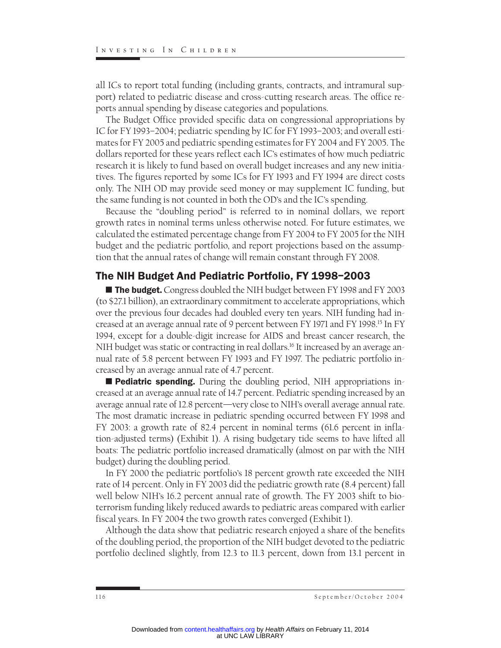all ICs to report total funding (including grants, contracts, and intramural support) related to pediatric disease and cross-cutting research areas. The office reports annual spending by disease categories and populations.

The Budget Office provided specific data on congressional appropriations by IC for FY 1993–2004; pediatric spending by IC for FY 1993–2003; and overall estimates for FY 2005 and pediatric spending estimates for FY 2004 and FY 2005. The dollars reported for these years reflect each IC's estimates of how much pediatric research it is likely to fund based on overall budget increases and any new initiatives. The figures reported by some ICs for FY 1993 and FY 1994 are direct costs only. The NIH OD may provide seed money or may supplement IC funding, but the same funding is not counted in both the OD's and the IC's spending.

Because the "doubling period" is referred to in nominal dollars, we report growth rates in nominal terms unless otherwise noted. For future estimates, we calculated the estimated percentage change from FY 2004 to FY 2005 for the NIH budget and the pediatric portfolio, and report projections based on the assumption that the annual rates of change will remain constant through FY 2008.

# The NIH Budget And Pediatric Portfolio, FY 1998–2003

**The budget.** Congress doubled the NIH budget between FY 1998 and FY 2003 (to \$27.1 billion), an extraordinary commitment to accelerate appropriations, which over the previous four decades had doubled every ten years. NIH funding had increased at an average annual rate of 9 percent between FY 1971 and FY 1998.15 In FY 1994, except for a double-digit increase for AIDS and breast cancer research, the NIH budget was static or contracting in real dollars.<sup>16</sup> It increased by an average annual rate of 5.8 percent between FY 1993 and FY 1997. The pediatric portfolio increased by an average annual rate of 4.7 percent.

**Pediatric spending.** During the doubling period, NIH appropriations increased at an average annual rate of 14.7 percent. Pediatric spending increased by an average annual rate of 12.8 percent—very close to NIH's overall average annual rate. The most dramatic increase in pediatric spending occurred between FY 1998 and FY 2003: a growth rate of 82.4 percent in nominal terms (61.6 percent in inflation-adjusted terms) (Exhibit 1). A rising budgetary tide seems to have lifted all boats: The pediatric portfolio increased dramatically (almost on par with the NIH budget) during the doubling period.

In FY 2000 the pediatric portfolio's 18 percent growth rate exceeded the NIH rate of 14 percent. Only in FY 2003 did the pediatric growth rate (8.4 percent) fall well below NIH's 16.2 percent annual rate of growth. The FY 2003 shift to bioterrorism funding likely reduced awards to pediatric areas compared with earlier fiscal years. In FY 2004 the two growth rates converged (Exhibit 1).

Although the data show that pediatric research enjoyed a share of the benefits of the doubling period, the proportion of the NIH budget devoted to the pediatric portfolio declined slightly, from 12.3 to 11.3 percent, down from 13.1 percent in

<sup>116</sup> September/October 2004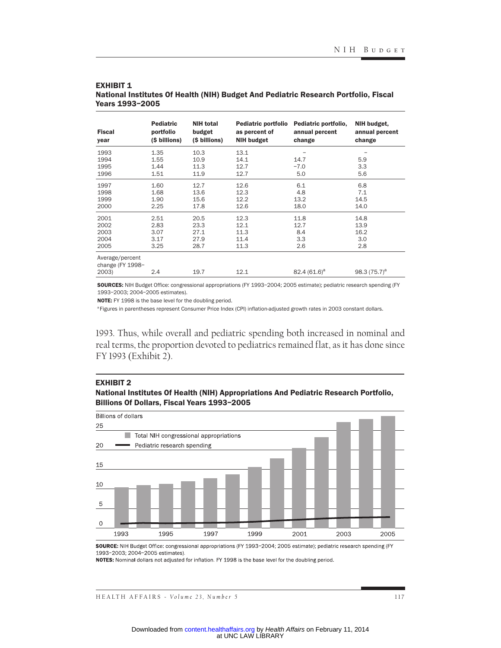| <b>Fiscal</b><br>year                        | <b>Pediatric</b><br>portfolio<br>(\$ billions) | <b>NIH total</b><br>budget<br>(\$ billions) | Pediatric portfolio<br>as percent of<br><b>NIH budget</b> | Pediatric portfolio,<br>annual percent<br>change | NIH budget,<br>annual percent<br>change |  |  |
|----------------------------------------------|------------------------------------------------|---------------------------------------------|-----------------------------------------------------------|--------------------------------------------------|-----------------------------------------|--|--|
| 1993<br>1994<br>1995<br>1996                 | 1.35<br>1.55<br>1.44<br>1.51                   | 10.3<br>10.9<br>11.3<br>11.9                | 13.1<br>14.1<br>12.7<br>12.7                              | 14.7<br>$-7.0$<br>5.0                            | 5.9<br>3.3<br>5.6                       |  |  |
| 1997<br>1998<br>1999<br>2000                 | 1.60<br>1.68<br>1.90<br>2.25                   | 12.7<br>13.6<br>15.6<br>17.8                | 12.6<br>12.3<br>12.2<br>12.6                              | 6.1<br>4.8<br>13.2<br>18.0                       | 6.8<br>7.1<br>14.5<br>14.0              |  |  |
| 2001<br>2002<br>2003<br>2004<br>2005         | 2.51<br>2.83<br>3.07<br>3.17<br>3.25           | 20.5<br>23.3<br>27.1<br>27.9<br>28.7        | 12.3<br>12.1<br>11.3<br>11.4<br>11.3                      | 11.8<br>12.7<br>8.4<br>3.3<br>2.6                | 14.8<br>13.9<br>16.2<br>3.0<br>2.8      |  |  |
| Average/percent<br>change (FY 1998-<br>2003) | 2.4                                            | 19.7                                        | 12.1                                                      | 82.4 $(61.6)^a$                                  | 98.3 $(75.7)^a$                         |  |  |

#### **EXHIBIT 1** National Institutes Of Health (NIH) Budget And Pediatric Research Portfolio, Fiscal Years 1993–2005

SOURCES: NIH Budget Office: congressional appropriations (FY 1993–2004; 2005 estimate); pediatric research spending (FY 1993–2003; 2004–2005 estimates).

NOTE: FY 1998 is the base level for the doubling period.

<sup>a</sup> Figures in parentheses represent Consumer Price Index (CPI) inflation-adjusted growth rates in 2003 constant dollars.

1993. Thus, while overall and pediatric spending both increased in nominal and real terms, the proportion devoted to pediatrics remained flat, as it has done since FY 1993 (Exhibit 2).

#### EXHIBIT 2

National Institutes Of Health (NIH) Appropriations And Pediatric Research Portfolio, Billions Of Dollars, Fiscal Years 1993–2005



SOURCE: NIH Budget Office: congressional appropriations (FY 1993-2004; 2005 estimate); pediatric research spending (FY 1993-2003; 2004-2005 estimates).

NOTES: Nominal dollars not adjusted for inflation. FY 1998 is the base level for the doubling period.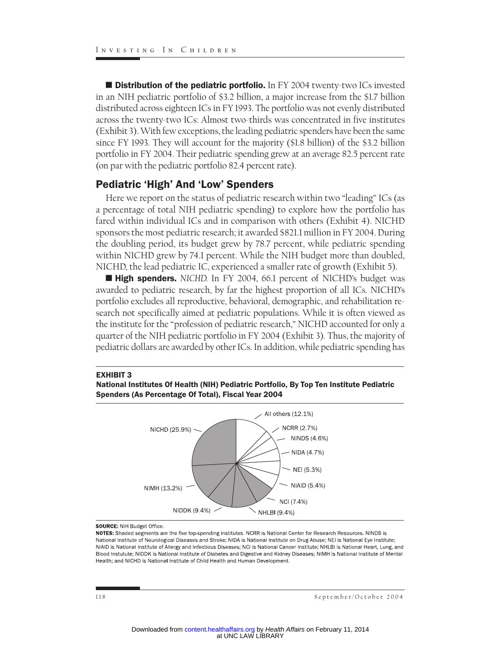**Distribution of the pediatric portfolio.** In FY 2004 twenty-two ICs invested in an NIH pediatric portfolio of \$3.2 billion, a major increase from the \$1.7 billion distributed across eighteen ICs in FY 1993. The portfolio was not evenly distributed across the twenty-two ICs: Almost two-thirds was concentrated in five institutes (Exhibit 3). With few exceptions, the leading pediatric spenders have been the same since FY 1993. They will account for the majority (\$1.8 billion) of the \$3.2 billion portfolio in FY 2004. Their pediatric spending grew at an average 82.5 percent rate (on par with the pediatric portfolio 82.4 percent rate).

## Pediatric 'High' And 'Low' Spenders

Here we report on the status of pediatric research within two "leading" ICs (as a percentage of total NIH pediatric spending) to explore how the portfolio has fared within individual ICs and in comparison with others (Exhibit 4). NICHD sponsors the most pediatric research; it awarded \$821.1 million in FY 2004. During the doubling period, its budget grew by 78.7 percent, while pediatric spending within NICHD grew by 74.1 percent. While the NIH budget more than doubled, NICHD, the lead pediatric IC, experienced a smaller rate of growth (Exhibit 5).

■ High spenders. NICHD. In FY 2004, 66.1 percent of NICHD's budget was awarded to pediatric research, by far the highest proportion of all ICs. NICHD's portfolio excludes all reproductive, behavioral, demographic, and rehabilitation research not specifically aimed at pediatric populations. While it is often viewed as the institute for the "profession of pediatric research," NICHD accounted for only a quarter of the NIH pediatric portfolio in FY 2004 (Exhibit 3). Thus, the majority of pediatric dollars are awarded by other ICs. In addition, while pediatric spending has

#### EXHIBIT 3





#### **SOURCE: NIH Budget Office.**

NOTES: Shaded segments are the five top-spending institutes. NCRR is National Center for Research Resources. NINDS is National Institute of Neurological Diseases and Stroke; NIDA is National Institute on Drug Abuse; NEI is National Eye Institute; NIAID is National Institute of Allergy and Infectious Diseases; NCI is National Cancer Institute; NHLBI is National Heart, Lung, and Blood Instutute; NIDDK is National Institute of Diabetes and Digestive and Kidney Diseases; NIMH is National Institute of Mental Health: and NICHD is National Institute of Child Health and Human Development.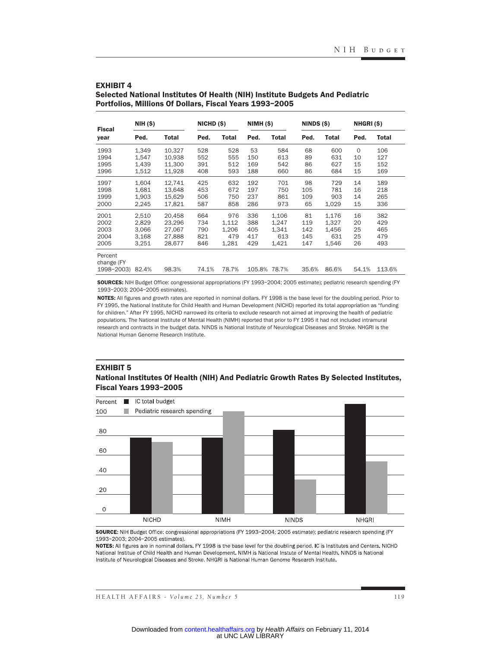| <b>Fiscal</b><br>year                     | <b>NIH (\$)</b>                           |                                                | NICHD (\$)                      |                                       | NIMH(S)                         |                                         | NINDS (\$)                     |                                         | NHGRI(\$)                  |                                 |
|-------------------------------------------|-------------------------------------------|------------------------------------------------|---------------------------------|---------------------------------------|---------------------------------|-----------------------------------------|--------------------------------|-----------------------------------------|----------------------------|---------------------------------|
|                                           | Ped.                                      | <b>Total</b>                                   | Ped.                            | <b>Total</b>                          | Ped.                            | <b>Total</b>                            | Ped.                           | <b>Total</b>                            | Ped.                       | Total                           |
| 1993<br>1994<br>1995                      | 1.349<br>1,547<br>1,439                   | 10.327<br>10,938<br>11,300                     | 528<br>552<br>391               | 528<br>555<br>512                     | 53<br>150<br>169                | 584<br>613<br>542                       | 68<br>89<br>86                 | 600<br>631<br>627                       | $\circ$<br>10<br>15        | 106<br>127<br>152               |
| 1996                                      | 1,512                                     | 11,928                                         | 408                             | 593                                   | 188                             | 660                                     | 86                             | 684                                     | 15                         | 169                             |
| 1997<br>1998<br>1999<br>2000              | 1.604<br>1,681<br>1,903<br>2,245          | 12.741<br>13.648<br>15,629<br>17,821           | 425<br>453<br>506<br>587        | 632<br>672<br>750<br>858              | 192<br>197<br>237<br>286        | 701<br>750<br>861<br>973                | 98<br>105<br>109<br>65         | 729<br>781<br>903<br>1,029              | 14<br>16<br>14<br>15       | 189<br>218<br>265<br>336        |
| 2001<br>2002<br>2003<br>2004<br>2005      | 2,510<br>2.829<br>3,066<br>3,168<br>3,251 | 20,458<br>23.296<br>27,067<br>27,888<br>28,677 | 664<br>734<br>790<br>821<br>846 | 976<br>1,112<br>1,206<br>479<br>1,281 | 336<br>388<br>405<br>417<br>429 | 1,106<br>1,247<br>1,341<br>613<br>1,421 | 81<br>119<br>142<br>145<br>147 | 1,176<br>1,327<br>1,456<br>631<br>1,546 | 16<br>20<br>25<br>25<br>26 | 382<br>429<br>465<br>479<br>493 |
| Percent<br>change (FY<br>1998-2003) 82.4% |                                           | 98.3%                                          | 74.1%                           | 78.7%                                 | 105.8% 78.7%                    |                                         | 35.6%                          | 86.6%                                   | 54.1%                      | 113.6%                          |

#### EXHIBIT 4

Selected National Institutes Of Health (NIH) Institute Budgets And Pediatric Portfolios, Millions Of Dollars, Fiscal Years 1993–2005

SOURCES: NIH Budget Office: congressional appropriations (FY 1993–2004; 2005 estimate); pediatric research spending (FY 1993–2003; 2004–2005 estimates).

NOTES: All figures and growth rates are reported in nominal dollars. FY 1998 is the base level for the doubling period. Prior to FY 1995, the National Institute for Child Health and Human Development (NICHD) reported its total appropriation as "funding for children." After FY 1995, NICHD narrowed its criteria to exclude research not aimed at improving the health of pediatric populations. The National Institute of Mental Health (NIMH) reported that prior to FY 1995 it had not included intramural research and contracts in the budget data. NINDS is National Institute of Neurological Diseases and Stroke. NHGRI is the National Human Genome Research Institute.

#### EXHIBIT 5

#### National Institutes Of Health (NIH) And Pediatric Growth Rates By Selected Institutes, Fiscal Years 1993–2005



SOURCE: NIH Budget Office: congressional appropriations (FY 1993-2004; 2005 estimate); pediatric research spending (FY 1993-2003; 2004-2005 estimates).

NOTES: All figures are in nominal dollars. FY 1998 is the base level for the doubling period. IC is Institutes and Centers. NICHD National Institue of Child Health and Human Development. NIMH is National Instute of Mental Health. NINDS is National Institute of Neurological Diseases and Stroke, NHGRI is National Human Genome Research Institute.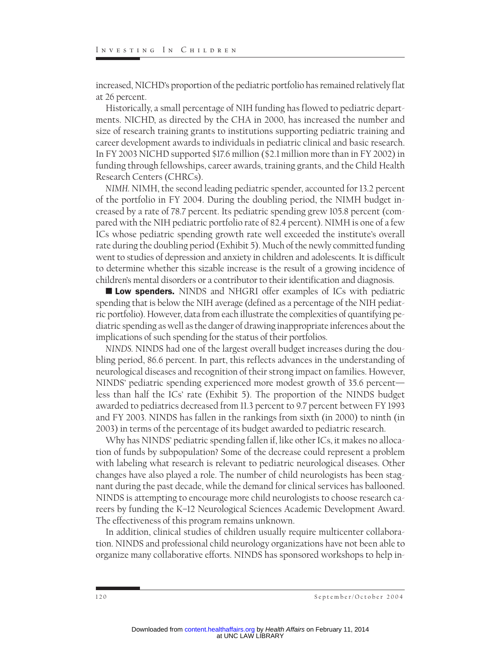increased, NICHD's proportion of the pediatric portfolio has remained relatively flat at 26 percent.

Historically, a small percentage of NIH funding has flowed to pediatric departments. NICHD, as directed by the CHA in 2000, has increased the number and size of research training grants to institutions supporting pediatric training and career development awards to individuals in pediatric clinical and basic research. In FY 2003 NICHD supported \$17.6 million (\$2.1 million more than in FY 2002) in funding through fellowships, career awards, training grants, and the Child Health Research Centers (CHRCs).

*NIMH.* NIMH, the second leading pediatric spender, accounted for 13.2 percent of the portfolio in FY 2004. During the doubling period, the NIMH budget increased by a rate of 78.7 percent. Its pediatric spending grew 105.8 percent (compared with the NIH pediatric portfolio rate of 82.4 percent). NIMH is one of a few ICs whose pediatric spending growth rate well exceeded the institute's overall rate during the doubling period (Exhibit 5). Much of the newly committed funding went to studies of depression and anxiety in children and adolescents. It is difficult to determine whether this sizable increase is the result of a growing incidence of children's mental disorders or a contributor to their identification and diagnosis.

**Low spenders.** NINDS and NHGRI offer examples of ICs with pediatric spending that is below the NIH average (defined as a percentage of the NIH pediatric portfolio). However, data from each illustrate the complexities of quantifying pediatric spending as well as the danger of drawing inappropriate inferences about the implications of such spending for the status of their portfolios.

*NINDS.* NINDS had one of the largest overall budget increases during the doubling period, 86.6 percent. In part, this reflects advances in the understanding of neurological diseases and recognition of their strong impact on families. However, NINDS' pediatric spending experienced more modest growth of 35.6 percent less than half the ICs' rate (Exhibit 5). The proportion of the NINDS budget awarded to pediatrics decreased from 11.3 percent to 9.7 percent between FY 1993 and FY 2003. NINDS has fallen in the rankings from sixth (in 2000) to ninth (in 2003) in terms of the percentage of its budget awarded to pediatric research.

Why has NINDS' pediatric spending fallen if, like other ICs, it makes no allocation of funds by subpopulation? Some of the decrease could represent a problem with labeling what research is relevant to pediatric neurological diseases. Other changes have also played a role. The number of child neurologists has been stagnant during the past decade, while the demand for clinical services has ballooned. NINDS is attempting to encourage more child neurologists to choose research careers by funding the K–12 Neurological Sciences Academic Development Award. The effectiveness of this program remains unknown.

In addition, clinical studies of children usually require multicenter collaboration. NINDS and professional child neurology organizations have not been able to organize many collaborative efforts. NINDS has sponsored workshops to help in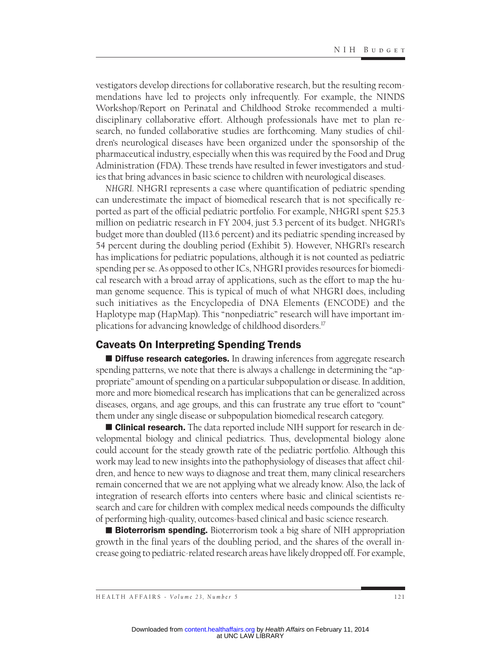vestigators develop directions for collaborative research, but the resulting recommendations have led to projects only infrequently. For example, the NINDS Workshop/Report on Perinatal and Childhood Stroke recommended a multidisciplinary collaborative effort. Although professionals have met to plan research, no funded collaborative studies are forthcoming. Many studies of children's neurological diseases have been organized under the sponsorship of the pharmaceutical industry, especially when this was required by the Food and Drug Administration (FDA). These trends have resulted in fewer investigators and studies that bring advances in basic science to children with neurological diseases.

*NHGRI.* NHGRI represents a case where quantification of pediatric spending can underestimate the impact of biomedical research that is not specifically reported as part of the official pediatric portfolio. For example, NHGRI spent \$25.3 million on pediatric research in FY 2004, just 5.3 percent of its budget. NHGRI's budget more than doubled (113.6 percent) and its pediatric spending increased by 54 percent during the doubling period (Exhibit 5). However, NHGRI's research has implications for pediatric populations, although it is not counted as pediatric spending per se. As opposed to other ICs, NHGRI provides resources for biomedical research with a broad array of applications, such as the effort to map the human genome sequence. This is typical of much of what NHGRI does, including such initiatives as the Encyclopedia of DNA Elements (ENCODE) and the Haplotype map (HapMap). This "nonpediatric" research will have important implications for advancing knowledge of childhood disorders.17

# Caveats On Interpreting Spending Trends

**Diffuse research categories.** In drawing inferences from aggregate research spending patterns, we note that there is always a challenge in determining the "appropriate" amount of spending on a particular subpopulation or disease. In addition, more and more biomedical research has implications that can be generalized across diseases, organs, and age groups, and this can frustrate any true effort to "count" them under any single disease or subpopulation biomedical research category.

**Clinical research.** The data reported include NIH support for research in developmental biology and clinical pediatrics. Thus, developmental biology alone could account for the steady growth rate of the pediatric portfolio. Although this work may lead to new insights into the pathophysiology of diseases that affect children, and hence to new ways to diagnose and treat them, many clinical researchers remain concerned that we are not applying what we already know. Also, the lack of integration of research efforts into centers where basic and clinical scientists research and care for children with complex medical needs compounds the difficulty of performing high-quality, outcomes-based clinical and basic science research.

**Bioterrorism spending.** Bioterrorism took a big share of NIH appropriation growth in the final years of the doubling period, and the shares of the overall increase going to pediatric-related research areas have likely dropped off. For example,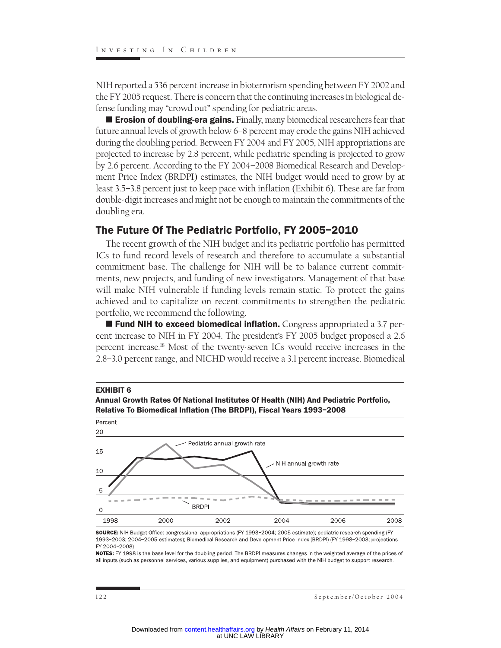NIH reported a 536 percent increase in bioterrorism spending between FY 2002 and the FY 2005 request. There is concern that the continuing increases in biological defense funding may "crowd out" spending for pediatric areas.

**Expression of doubling-era gains.** Finally, many biomedical researchers fear that future annual levels of growth below 6–8 percent may erode the gains NIH achieved during the doubling period. Between FY 2004 and FY 2005, NIH appropriations are projected to increase by 2.8 percent, while pediatric spending is projected to grow by 2.6 percent. According to the FY 2004–2008 Biomedical Research and Development Price Index (BRDPI) estimates, the NIH budget would need to grow by at least 3.5–3.8 percent just to keep pace with inflation (Exhibit 6). These are far from double-digit increases and might not be enough to maintain the commitments of the doubling era.

# The Future Of The Pediatric Portfolio, FY 2005–2010

The recent growth of the NIH budget and its pediatric portfolio has permitted ICs to fund record levels of research and therefore to accumulate a substantial commitment base. The challenge for NIH will be to balance current commitments, new projects, and funding of new investigators. Management of that base will make NIH vulnerable if funding levels remain static. To protect the gains achieved and to capitalize on recent commitments to strengthen the pediatric portfolio, we recommend the following.

**Fund NIH to exceed biomedical inflation.** Congress appropriated a 3.7 percent increase to NIH in FY 2004. The president's FY 2005 budget proposed a 2.6 percent increase.18 Most of the twenty-seven ICs would receive increases in the 2.8–3.0 percent range, and NICHD would receive a 3.1 percent increase. Biomedical



SOURCE: NIH Budget Office: congressional appropriations (FY 1993-2004; 2005 estimate); pediatric research spending (FY 1993-2003; 2004-2005 estimates); Biomedical Research and Development Price Index (BRDPI) (FY 1998-2003; projections FY 2004-2008).

NOTES: FY 1998 is the base level for the doubling period. The BRDPI measures changes in the weighted average of the prices of all inputs (such as personnel services, various supplies, and equipment) purchased with the NIH budget to support research.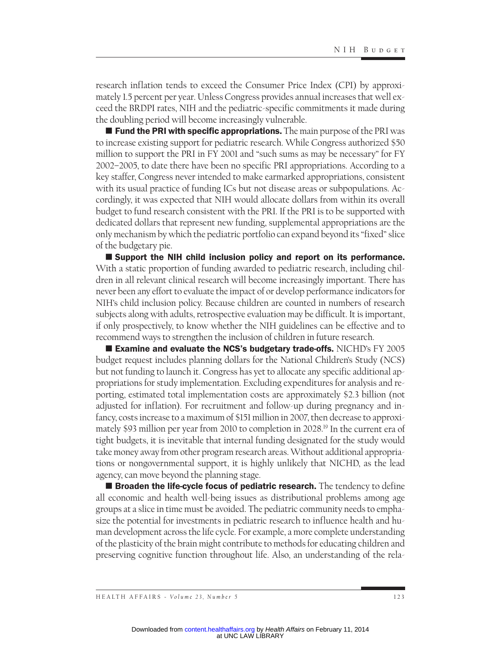research inflation tends to exceed the Consumer Price Index (CPI) by approximately 1.5 percent per year. Unless Congress provides annual increases that well exceed the BRDPI rates, NIH and the pediatric-specific commitments it made during the doubling period will become increasingly vulnerable.

 $\blacksquare$  Fund the PRI with specific appropriations. The main purpose of the PRI was to increase existing support for pediatric research. While Congress authorized \$50 million to support the PRI in FY 2001 and "such sums as may be necessary" for FY 2002–2005, to date there have been no specific PRI appropriations. According to a key staffer, Congress never intended to make earmarked appropriations, consistent with its usual practice of funding ICs but not disease areas or subpopulations. Accordingly, it was expected that NIH would allocate dollars from within its overall budget to fund research consistent with the PRI. If the PRI is to be supported with dedicated dollars that represent new funding, supplemental appropriations are the only mechanism by which the pediatric portfolio can expand beyond its "fixed" slice of the budgetary pie.

 Support the NIH child inclusion policy and report on its performance. With a static proportion of funding awarded to pediatric research, including children in all relevant clinical research will become increasingly important. There has never been any effort to evaluate the impact of or develop performance indicators for NIH's child inclusion policy. Because children are counted in numbers of research subjects along with adults, retrospective evaluation may be difficult. It is important, if only prospectively, to know whether the NIH guidelines can be effective and to recommend ways to strengthen the inclusion of children in future research.

**Examine and evaluate the NCS's budgetary trade-offs. NICHD's FY 2005** budget request includes planning dollars for the National Children's Study (NCS) but not funding to launch it. Congress has yet to allocate any specific additional appropriations for study implementation. Excluding expenditures for analysis and reporting, estimated total implementation costs are approximately \$2.3 billion (not adjusted for inflation). For recruitment and follow-up during pregnancy and infancy, costs increase to a maximum of \$151 million in 2007, then decrease to approximately \$93 million per year from 2010 to completion in 2028.19 In the current era of tight budgets, it is inevitable that internal funding designated for the study would take money away from other program research areas. Without additional appropriations or nongovernmental support, it is highly unlikely that NICHD, as the lead agency, can move beyond the planning stage.

 $\blacksquare$  Broaden the life-cycle focus of pediatric research. The tendency to define all economic and health well-being issues as distributional problems among age groups at a slice in time must be avoided. The pediatric community needs to emphasize the potential for investments in pediatric research to influence health and human development across the life cycle. For example, a more complete understanding of the plasticity of the brain might contribute to methods for educating children and preserving cognitive function throughout life. Also, an understanding of the rela-